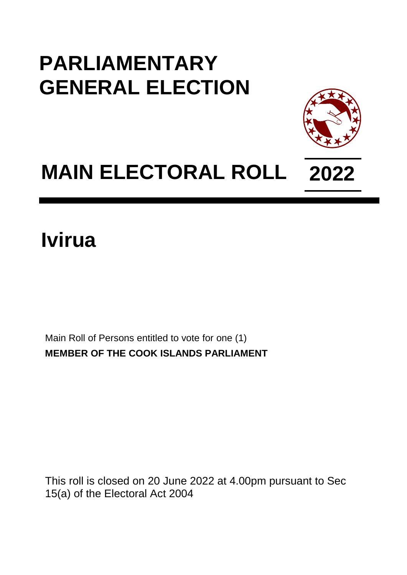## **PARLIAMENTARY GENERAL ELECTION**



## **MAIN ELECTORAL ROLL 2022**

## **Ivirua**

Main Roll of Persons entitled to vote for one (1) **MEMBER OF THE COOK ISLANDS PARLIAMENT**

This roll is closed on 20 June 2022 at 4.00pm pursuant to Sec 15(a) of the Electoral Act 2004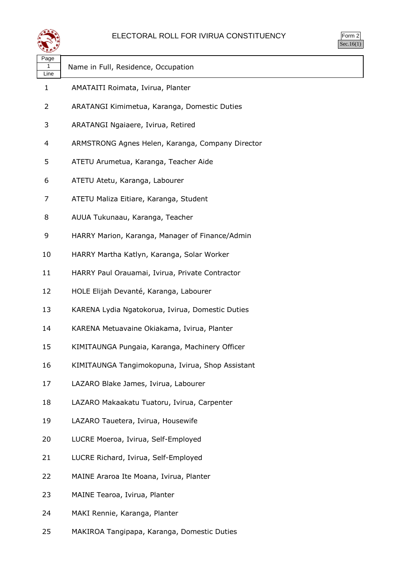

| orm |
|-----|
| ÷   |

ヿ

| ≍±≠               |                                                  |
|-------------------|--------------------------------------------------|
| Page<br>1<br>Line | Name in Full, Residence, Occupation              |
| $\mathbf{1}$      | AMATAITI Roimata, Ivirua, Planter                |
| $\overline{2}$    | ARATANGI Kimimetua, Karanga, Domestic Duties     |
| 3                 | ARATANGI Ngaiaere, Ivirua, Retired               |
| 4                 | ARMSTRONG Agnes Helen, Karanga, Company Director |
| 5                 | ATETU Arumetua, Karanga, Teacher Aide            |
| 6                 | ATETU Atetu, Karanga, Labourer                   |
| 7                 | ATETU Maliza Eitiare, Karanga, Student           |
| 8                 | AUUA Tukunaau, Karanga, Teacher                  |
| 9                 | HARRY Marion, Karanga, Manager of Finance/Admin  |
| 10                | HARRY Martha Katlyn, Karanga, Solar Worker       |
| 11                | HARRY Paul Orauamai, Ivirua, Private Contractor  |
| 12                | HOLE Elijah Devanté, Karanga, Labourer           |
| 13                | KARENA Lydia Ngatokorua, Ivirua, Domestic Duties |
| 14                | KARENA Metuavaine Okiakama, Ivirua, Planter      |
| 15                | KIMITAUNGA Pungaia, Karanga, Machinery Officer   |
| 16                | KIMITAUNGA Tangimokopuna, Ivirua, Shop Assistant |
| 17                | LAZARO Blake James, Ivirua, Labourer             |
| 18                | LAZARO Makaakatu Tuatoru, Ivirua, Carpenter      |
| 19                | LAZARO Tauetera, Ivirua, Housewife               |
| 20                | LUCRE Moeroa, Ivirua, Self-Employed              |
| 21                | LUCRE Richard, Ivirua, Self-Employed             |
| 22                | MAINE Araroa Ite Moana, Ivirua, Planter          |
| 23                | MAINE Tearoa, Ivirua, Planter                    |
| 24                | MAKI Rennie, Karanga, Planter                    |

MAKIROA Tangipapa, Karanga, Domestic Duties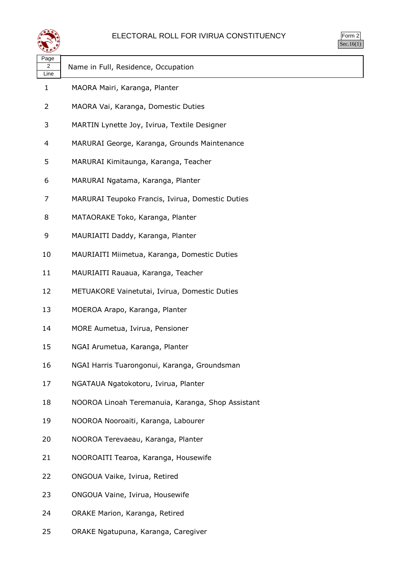

| $\overline{3}$ rm<br>╯ |  |
|------------------------|--|
| . I                    |  |

| પ∓≭⊅              |                                                   |
|-------------------|---------------------------------------------------|
| Page<br>2<br>Line | Name in Full, Residence, Occupation               |
| $\mathbf{1}$      | MAORA Mairi, Karanga, Planter                     |
| 2                 | MAORA Vai, Karanga, Domestic Duties               |
| 3                 | MARTIN Lynette Joy, Ivirua, Textile Designer      |
| 4                 | MARURAI George, Karanga, Grounds Maintenance      |
| 5                 | MARURAI Kimitaunga, Karanga, Teacher              |
| 6                 | MARURAI Ngatama, Karanga, Planter                 |
| 7                 | MARURAI Teupoko Francis, Ivirua, Domestic Duties  |
| 8                 | MATAORAKE Toko, Karanga, Planter                  |
| 9                 | MAURIAITI Daddy, Karanga, Planter                 |
| 10                | MAURIAITI Miimetua, Karanga, Domestic Duties      |
| 11                | MAURIAITI Rauaua, Karanga, Teacher                |
| 12                | METUAKORE Vainetutai, Ivirua, Domestic Duties     |
| 13                | MOEROA Arapo, Karanga, Planter                    |
| 14                | MORE Aumetua, Ivirua, Pensioner                   |
| 15                | NGAI Arumetua, Karanga, Planter                   |
| 16                | NGAI Harris Tuarongonui, Karanga, Groundsman      |
| 17                | NGATAUA Ngatokotoru, Ivirua, Planter              |
| 18                | NOOROA Linoah Teremanuia, Karanga, Shop Assistant |
| 19                | NOOROA Nooroaiti, Karanga, Labourer               |
| 20                | NOOROA Terevaeau, Karanga, Planter                |
| 21                | NOOROAITI Tearoa, Karanga, Housewife              |
| 22                | ONGOUA Vaike, Ivirua, Retired                     |
| 23                | ONGOUA Vaine, Ivirua, Housewife                   |
| 24                | ORAKE Marion, Karanga, Retired                    |
| 25                | ORAKE Ngatupuna, Karanga, Caregiver               |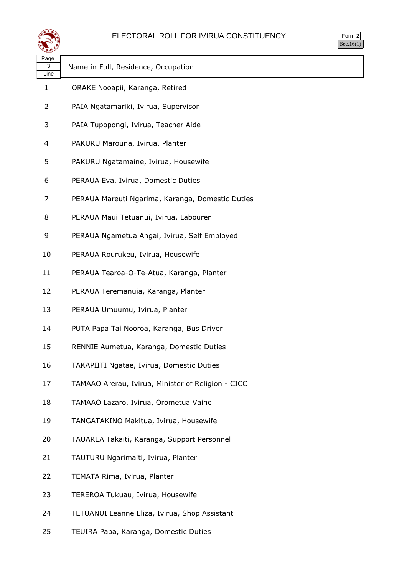

| orm<br>╯ |  |
|----------|--|
| ÷        |  |

| Page<br>3                | Name in Full, Residence, Occupation                |
|--------------------------|----------------------------------------------------|
| Line                     |                                                    |
| 1                        | ORAKE Nooapii, Karanga, Retired                    |
| 2                        | PAIA Ngatamariki, Ivirua, Supervisor               |
| 3                        | PAIA Tupopongi, Ivirua, Teacher Aide               |
| $\overline{\mathcal{A}}$ | PAKURU Marouna, Ivirua, Planter                    |
| 5                        | PAKURU Ngatamaine, Ivirua, Housewife               |
| 6                        | PERAUA Eva, Ivirua, Domestic Duties                |
| 7                        | PERAUA Mareuti Ngarima, Karanga, Domestic Duties   |
| 8                        | PERAUA Maui Tetuanui, Ivirua, Labourer             |
| 9                        | PERAUA Ngametua Angai, Ivirua, Self Employed       |
| 10                       | PERAUA Rourukeu, Ivirua, Housewife                 |
| 11                       | PERAUA Tearoa-O-Te-Atua, Karanga, Planter          |
| 12                       | PERAUA Teremanuia, Karanga, Planter                |
| 13                       | PERAUA Umuumu, Ivirua, Planter                     |
| 14                       | PUTA Papa Tai Nooroa, Karanga, Bus Driver          |
| 15                       | RENNIE Aumetua, Karanga, Domestic Duties           |
| 16                       | TAKAPIITI Ngatae, Ivirua, Domestic Duties          |
| 17                       | TAMAAO Arerau, Ivirua, Minister of Religion - CICC |
| 18                       | TAMAAO Lazaro, Ivirua, Orometua Vaine              |
| 19                       | TANGATAKINO Makitua, Ivirua, Housewife             |
| 20                       | TAUAREA Takaiti, Karanga, Support Personnel        |
| 21                       | TAUTURU Ngarimaiti, Ivirua, Planter                |
| 22                       | TEMATA Rima, Ivirua, Planter                       |
| 23                       | TEREROA Tukuau, Ivirua, Housewife                  |
| 24                       | TETUANUI Leanne Eliza, Ivirua, Shop Assistant      |
|                          |                                                    |

TEUIRA Papa, Karanga, Domestic Duties